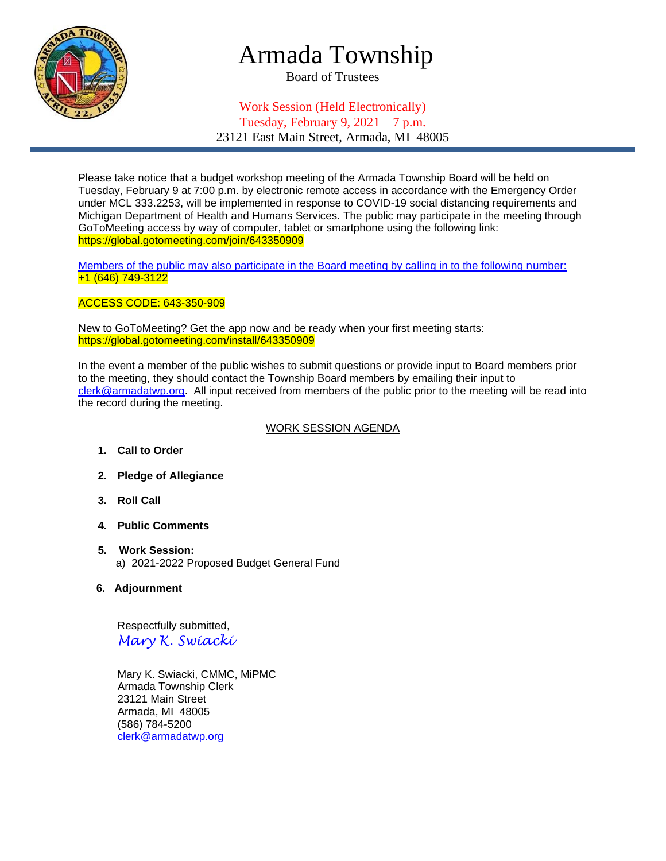

# Armada Township

Board of Trustees

## Work Session (Held Electronically) Tuesday, February 9,  $2021 - 7$  p.m.

23121 East Main Street, Armada, MI 48005

Please take notice that a budget workshop meeting of the Armada Township Board will be held on Tuesday, February 9 at 7:00 p.m. by electronic remote access in accordance with the Emergency Order under MCL 333.2253, will be implemented in response to COVID-19 social distancing requirements and Michigan Department of Health and Humans Services. The public may participate in the meeting through GoToMeeting access by way of computer, tablet or smartphone using the following link: https://global.gotomeeting.com/join/643350909

Members of the public may also participate in the Board meeting by calling in to the following number: +1 (646) 749-3122

### ACCESS CODE: 643-350-909

New to GoToMeeting? Get the app now and be ready when your first meeting starts: https://global.gotomeeting.com/install/643350909

In the event a member of the public wishes to submit questions or provide input to Board members prior to the meeting, they should contact the Township Board members by emailing their input to [clerk@armadatwp.org.](mailto:clerk@armadatwp.org) All input received from members of the public prior to the meeting will be read into the record during the meeting.

#### WORK SESSION AGENDA

- **1. Call to Order**
- **2. Pledge of Allegiance**
- **3. Roll Call**
- **4. Public Comments**
- **5. Work Session:**  a) 2021-2022 Proposed Budget General Fund
- **6. Adjournment**

 Respectfully submitted, *Mary K. Swiacki*

 Mary K. Swiacki, CMMC, MiPMC Armada Township Clerk 23121 Main Street Armada, MI 48005 (586) 784-5200 [clerk@armadatwp.org](mailto:clerk@armadatwp.org)